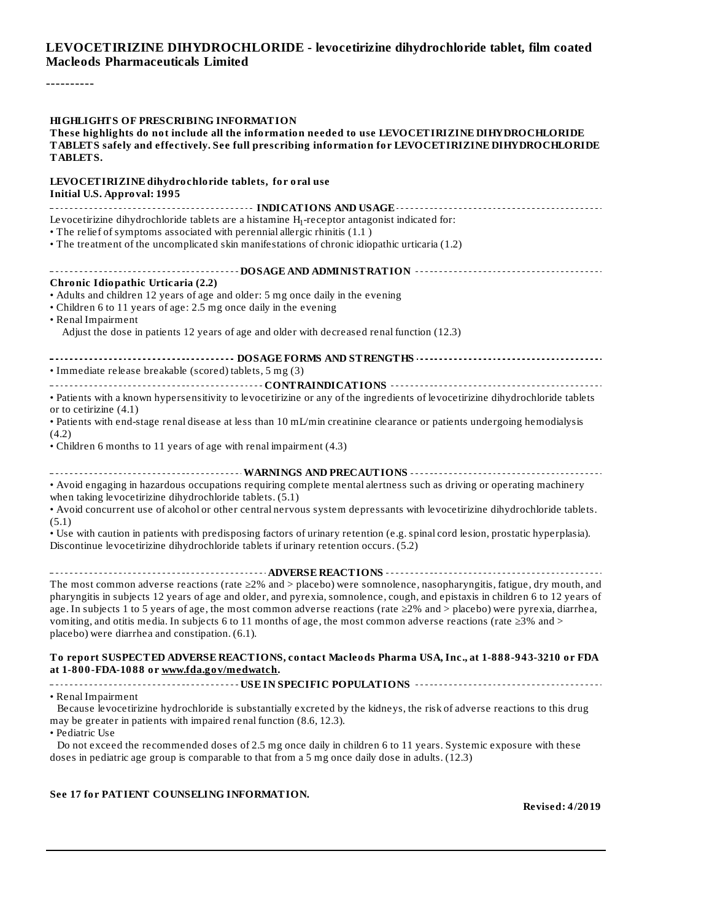#### **LEVOCETIRIZINE DIHYDROCHLORIDE - levocetirizine dihydrochloride tablet, film coated Macleods Pharmaceuticals Limited**

----------

| <b>HIGHLIGHTS OF PRESCRIBING INFORMATION</b><br>These highlights do not include all the information needed to use LEVOCETIRIZINE DIHYDROCHLORIDE<br>TABLETS safely and effectively. See full prescribing information for LEVOCETIRIZINE DIHYDROCHLORIDE<br>TABLETS.                                                                                                                                                                                                                                                                                                         |
|-----------------------------------------------------------------------------------------------------------------------------------------------------------------------------------------------------------------------------------------------------------------------------------------------------------------------------------------------------------------------------------------------------------------------------------------------------------------------------------------------------------------------------------------------------------------------------|
| LEVOCETIRIZINE dihydrochloride tablets, for oral use<br><b>Initial U.S. Approval: 1995</b>                                                                                                                                                                                                                                                                                                                                                                                                                                                                                  |
|                                                                                                                                                                                                                                                                                                                                                                                                                                                                                                                                                                             |
| Levocetirizine dihydrochloride tablets are a histamine $H_1$ -receptor antagonist indicated for:<br>• The relief of symptoms associated with perennial allergic rhinitis (1.1)<br>• The treatment of the uncomplicated skin manifestations of chronic idiopathic urticaria (1.2)                                                                                                                                                                                                                                                                                            |
|                                                                                                                                                                                                                                                                                                                                                                                                                                                                                                                                                                             |
| <b>Chronic Idiopathic Urticaria (2.2)</b>                                                                                                                                                                                                                                                                                                                                                                                                                                                                                                                                   |
| • Adults and children 12 years of age and older: 5 mg once daily in the evening<br>• Children 6 to 11 years of age: 2.5 mg once daily in the evening<br>• Renal Impairment                                                                                                                                                                                                                                                                                                                                                                                                  |
| Adjust the dose in patients 12 years of age and older with decreased renal function (12.3)                                                                                                                                                                                                                                                                                                                                                                                                                                                                                  |
|                                                                                                                                                                                                                                                                                                                                                                                                                                                                                                                                                                             |
| · Immediate release breakable (scored) tablets, 5 mg (3)                                                                                                                                                                                                                                                                                                                                                                                                                                                                                                                    |
| . Patients with a known hypersensitivity to levocetirizine or any of the ingredients of levocetirizine dihydrochloride tablets<br>or to cetirizine $(4.1)$                                                                                                                                                                                                                                                                                                                                                                                                                  |
| • Patients with end-stage renal disease at less than 10 mL/min creatinine clearance or patients undergoing hemodialysis<br>(4.2)                                                                                                                                                                                                                                                                                                                                                                                                                                            |
| • Children 6 months to 11 years of age with renal impairment (4.3)                                                                                                                                                                                                                                                                                                                                                                                                                                                                                                          |
|                                                                                                                                                                                                                                                                                                                                                                                                                                                                                                                                                                             |
| • Avoid engaging in hazardous occupations requiring complete mental alertness such as driving or operating machinery<br>when taking levocetirizine dihydrochloride tablets. (5.1)                                                                                                                                                                                                                                                                                                                                                                                           |
| . Avoid concurrent use of alcohol or other central nervous system depressants with levocetirizine dihydrochloride tablets.<br>(5.1)                                                                                                                                                                                                                                                                                                                                                                                                                                         |
| • Use with caution in patients with predisposing factors of urinary retention (e.g. spinal cord lesion, prostatic hyperplasia).<br>Discontinue levocetirizine dihydrochloride tablets if urinary retention occurs. (5.2)                                                                                                                                                                                                                                                                                                                                                    |
|                                                                                                                                                                                                                                                                                                                                                                                                                                                                                                                                                                             |
| The most common adverse reactions (rate $\geq 2\%$ and > placebo) were somnolence, nasopharyngitis, fatigue, dry mouth, and<br>pharyngitis in subjects 12 years of age and older, and pyrexia, somnolence, cough, and epistaxis in children 6 to 12 years of<br>age. In subjects 1 to 5 years of age, the most common adverse reactions (rate $\geq$ 2% and > placebo) were pyrexia, diarrhea,<br>vomiting, and otitis media. In subjects 6 to 11 months of age, the most common adverse reactions (rate $\geq$ 3% and ><br>placebo) were diarrhea and constipation. (6.1). |
| To report SUSPECTED ADVERSE REACTIONS, contact Macleods Pharma USA, Inc., at 1-888-943-3210 or FDA<br>at 1-800-FDA-1088 or www.fda.gov/medwatch.                                                                                                                                                                                                                                                                                                                                                                                                                            |
|                                                                                                                                                                                                                                                                                                                                                                                                                                                                                                                                                                             |
| • Renal Impairment<br>Because levocetirizine hydrochloride is substantially excreted by the kidneys, the risk of adverse reactions to this drug<br>may be greater in patients with impaired renal function (8.6, 12.3).<br>• Pediatric Use                                                                                                                                                                                                                                                                                                                                  |
| Do not exceed the recommended doses of 2.5 mg once daily in children 6 to 11 years. Systemic exposure with these<br>doses in pediatric age group is comparable to that from a 5 mg once daily dose in adults. (12.3)                                                                                                                                                                                                                                                                                                                                                        |

### **See 17 for PATIENT COUNSELING INFORMATION.**

**Revised: 4/2019**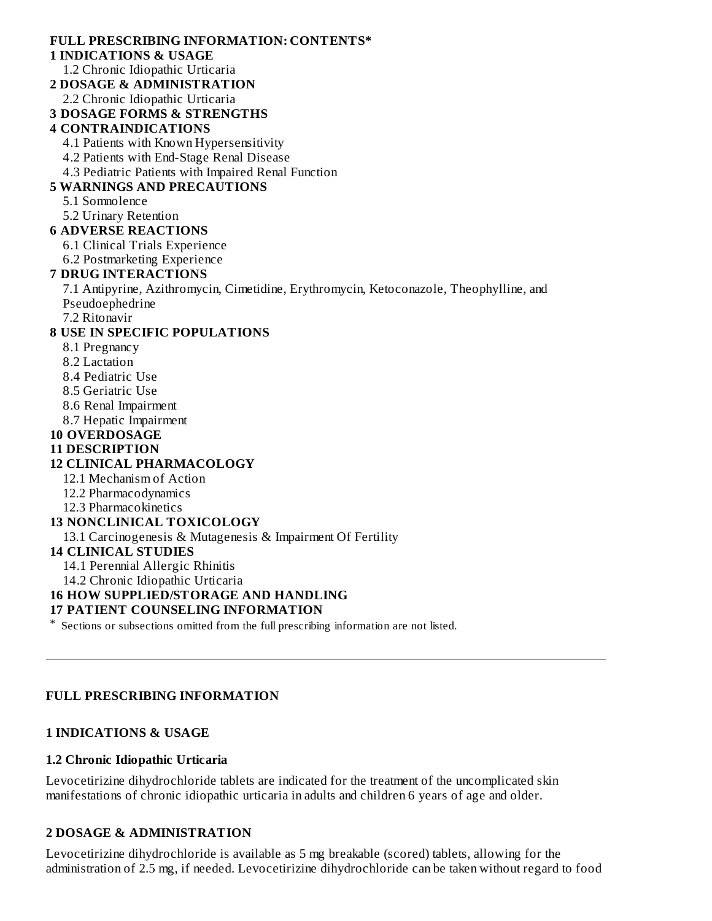# **FULL PRESCRIBING INFORMATION: CONTENTS\***

### **1 INDICATIONS & USAGE**

1.2 Chronic Idiopathic Urticaria

- **2 DOSAGE & ADMINISTRATION**
	- 2.2 Chronic Idiopathic Urticaria
- **3 DOSAGE FORMS & STRENGTHS**

### **4 CONTRAINDICATIONS**

- 4.1 Patients with Known Hypersensitivity
- 4.2 Patients with End-Stage Renal Disease
- 4.3 Pediatric Patients with Impaired Renal Function

# **5 WARNINGS AND PRECAUTIONS**

5.1 Somnolence

5.2 Urinary Retention

### **6 ADVERSE REACTIONS**

- 6.1 Clinical Trials Experience
- 6.2 Postmarketing Experience

# **7 DRUG INTERACTIONS**

7.1 Antipyrine, Azithromycin, Cimetidine, Erythromycin, Ketoconazole, Theophylline, and Pseudoephedrine

7.2 Ritonavir

# **8 USE IN SPECIFIC POPULATIONS**

- 8.1 Pregnancy
- 8.2 Lactation
- 8.4 Pediatric Use
- 8.5 Geriatric Use
- 8.6 Renal Impairment
- 8.7 Hepatic Impairment
- **10 OVERDOSAGE**

# **11 DESCRIPTION**

### **12 CLINICAL PHARMACOLOGY**

- 12.1 Mechanism of Action
- 12.2 Pharmacodynamics
- 12.3 Pharmacokinetics

### **13 NONCLINICAL TOXICOLOGY**

13.1 Carcinogenesis & Mutagenesis & Impairment Of Fertility

### **14 CLINICAL STUDIES**

14.1 Perennial Allergic Rhinitis

14.2 Chronic Idiopathic Urticaria

# **16 HOW SUPPLIED/STORAGE AND HANDLING**

### **17 PATIENT COUNSELING INFORMATION**

\* Sections or subsections omitted from the full prescribing information are not listed.

### **FULL PRESCRIBING INFORMATION**

# **1 INDICATIONS & USAGE**

### **1.2 Chronic Idiopathic Urticaria**

Levocetirizine dihydrochloride tablets are indicated for the treatment of the uncomplicated skin manifestations of chronic idiopathic urticaria in adults and children 6 years of age and older.

### **2 DOSAGE & ADMINISTRATION**

Levocetirizine dihydrochloride is available as 5 mg breakable (scored) tablets, allowing for the administration of 2.5 mg, if needed. Levocetirizine dihydrochloride can be taken without regard to food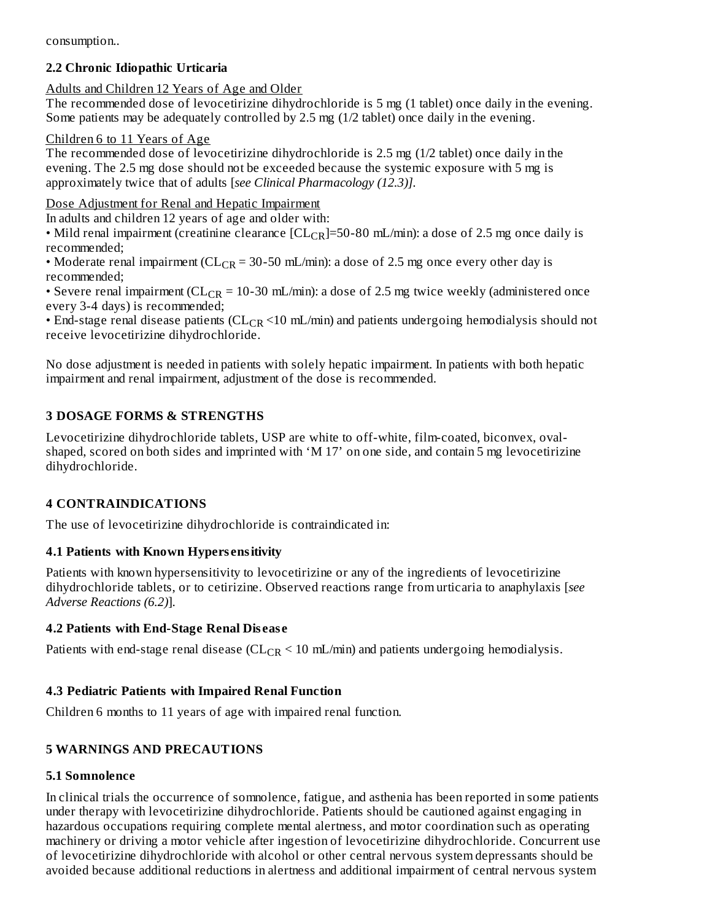consumption..

# **2.2 Chronic Idiopathic Urticaria**

Adults and Children 12 Years of Age and Older

The recommended dose of levocetirizine dihydrochloride is 5 mg (1 tablet) once daily in the evening. Some patients may be adequately controlled by 2.5 mg (1/2 tablet) once daily in the evening.

### Children 6 to 11 Years of Age

The recommended dose of levocetirizine dihydrochloride is 2.5 mg (1/2 tablet) once daily in the evening. The 2.5 mg dose should not be exceeded because the systemic exposure with 5 mg is approximately twice that of adults [*see Clinical Pharmacology (12.3)].*

# Dose Adjustment for Renal and Hepatic Impairment

In adults and children 12 years of age and older with:

• Mild renal impairment (creatinine clearance [CL<sub>CR</sub>]=50-80 mL/min): a dose of 2.5 mg once daily is recommended;

• Moderate renal impairment ( $CL_{CR}$  = 30-50 mL/min): a dose of 2.5 mg once every other day is recommended;

• Severe renal impairment ( $CL_{CR}$  = 10-30 mL/min): a dose of 2.5 mg twice weekly (administered once every 3-4 days) is recommended;

• End-stage renal disease patients ( $CL_{CR}$  <10 mL/min) and patients undergoing hemodialysis should not receive levocetirizine dihydrochloride.

No dose adjustment is needed in patients with solely hepatic impairment. In patients with both hepatic impairment and renal impairment, adjustment of the dose is recommended.

# **3 DOSAGE FORMS & STRENGTHS**

Levocetirizine dihydrochloride tablets, USP are white to off-white, film-coated, biconvex, ovalshaped, scored on both sides and imprinted with 'M 17' on one side, and contain 5 mg levocetirizine dihydrochloride.

# **4 CONTRAINDICATIONS**

The use of levocetirizine dihydrochloride is contraindicated in:

# **4.1 Patients with Known Hypers ensitivity**

Patients with known hypersensitivity to levocetirizine or any of the ingredients of levocetirizine dihydrochloride tablets, or to cetirizine. Observed reactions range from urticaria to anaphylaxis [*see Adverse Reactions (6.2)*].

# **4.2 Patients with End-Stage Renal Dis eas e**

Patients with end-stage renal disease ( $CL_{CR}$  < 10 mL/min) and patients undergoing hemodialysis.

# **4.3 Pediatric Patients with Impaired Renal Function**

Children 6 months to 11 years of age with impaired renal function.

# **5 WARNINGS AND PRECAUTIONS**

# **5.1 Somnolence**

In clinical trials the occurrence of somnolence, fatigue, and asthenia has been reported in some patients under therapy with levocetirizine dihydrochloride. Patients should be cautioned against engaging in hazardous occupations requiring complete mental alertness, and motor coordination such as operating machinery or driving a motor vehicle after ingestion of levocetirizine dihydrochloride. Concurrent use of levocetirizine dihydrochloride with alcohol or other central nervous system depressants should be avoided because additional reductions in alertness and additional impairment of central nervous system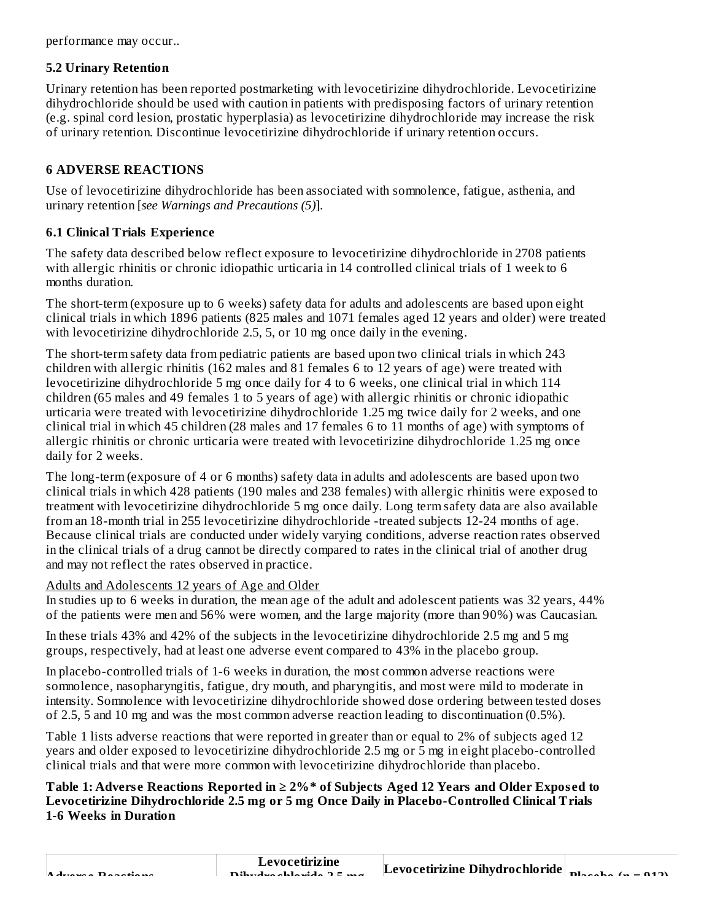performance may occur..

#### **5.2 Urinary Retention**

Urinary retention has been reported postmarketing with levocetirizine dihydrochloride. Levocetirizine dihydrochloride should be used with caution in patients with predisposing factors of urinary retention (e.g. spinal cord lesion, prostatic hyperplasia) as levocetirizine dihydrochloride may increase the risk of urinary retention. Discontinue levocetirizine dihydrochloride if urinary retention occurs.

### **6 ADVERSE REACTIONS**

Use of levocetirizine dihydrochloride has been associated with somnolence, fatigue, asthenia, and urinary retention [*see Warnings and Precautions (5)*].

### **6.1 Clinical Trials Experience**

The safety data described below reflect exposure to levocetirizine dihydrochloride in 2708 patients with allergic rhinitis or chronic idiopathic urticaria in 14 controlled clinical trials of 1 week to 6 months duration.

The short-term (exposure up to 6 weeks) safety data for adults and adolescents are based upon eight clinical trials in which 1896 patients (825 males and 1071 females aged 12 years and older) were treated with levocetirizine dihydrochloride 2.5, 5, or 10 mg once daily in the evening.

The short-term safety data from pediatric patients are based upon two clinical trials in which 243 children with allergic rhinitis (162 males and 81 females 6 to 12 years of age) were treated with levocetirizine dihydrochloride 5 mg once daily for 4 to 6 weeks, one clinical trial in which 114 children (65 males and 49 females 1 to 5 years of age) with allergic rhinitis or chronic idiopathic urticaria were treated with levocetirizine dihydrochloride 1.25 mg twice daily for 2 weeks, and one clinical trial in which 45 children (28 males and 17 females 6 to 11 months of age) with symptoms of allergic rhinitis or chronic urticaria were treated with levocetirizine dihydrochloride 1.25 mg once daily for 2 weeks.

The long-term (exposure of 4 or 6 months) safety data in adults and adolescents are based upon two clinical trials in which 428 patients (190 males and 238 females) with allergic rhinitis were exposed to treatment with levocetirizine dihydrochloride 5 mg once daily. Long term safety data are also available from an 18-month trial in 255 levocetirizine dihydrochloride -treated subjects 12-24 months of age. Because clinical trials are conducted under widely varying conditions, adverse reaction rates observed in the clinical trials of a drug cannot be directly compared to rates in the clinical trial of another drug and may not reflect the rates observed in practice.

### Adults and Adolescents 12 years of Age and Older

In studies up to 6 weeks in duration, the mean age of the adult and adolescent patients was 32 years, 44% of the patients were men and 56% were women, and the large majority (more than 90%) was Caucasian.

In these trials 43% and 42% of the subjects in the levocetirizine dihydrochloride 2.5 mg and 5 mg groups, respectively, had at least one adverse event compared to 43% in the placebo group.

In placebo-controlled trials of 1-6 weeks in duration, the most common adverse reactions were somnolence, nasopharyngitis, fatigue, dry mouth, and pharyngitis, and most were mild to moderate in intensity. Somnolence with levocetirizine dihydrochloride showed dose ordering between tested doses of 2.5, 5 and 10 mg and was the most common adverse reaction leading to discontinuation (0.5%).

Table 1 lists adverse reactions that were reported in greater than or equal to 2% of subjects aged 12 years and older exposed to levocetirizine dihydrochloride 2.5 mg or 5 mg in eight placebo-controlled clinical trials and that were more common with levocetirizine dihydrochloride than placebo.

Table 1: Adverse Reactions Reported in ≥ 2%\* of Subjects Aged 12 Years and Older Exposed to **Levocetirizine Dihydrochloride 2.5 mg or 5 mg Once Daily in Placebo-Controlled Clinical Trials 1-6 Weeks in Duration**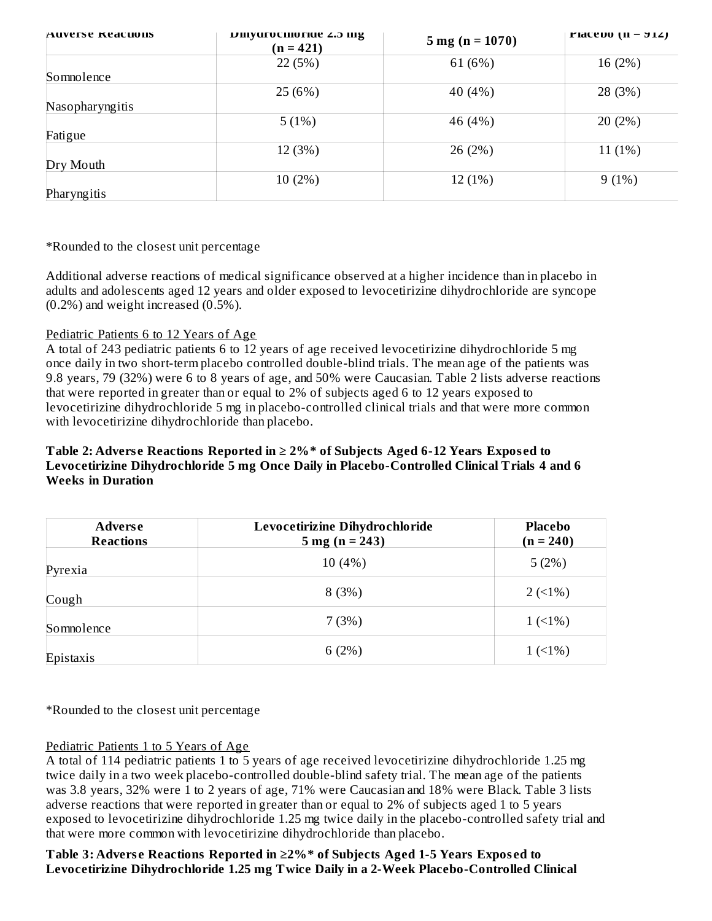| AUVELSE REACHOIIS | DIIIyurochioriue 2.5 mg<br>$(n = 421)$ | $5 \text{ mg}$ (n = 1070) | <b>FIGCEDO</b> $(II - 212)$ |
|-------------------|----------------------------------------|---------------------------|-----------------------------|
|                   | 22(5%)                                 | 61 (6%)                   | 16 (2%)                     |
| Somnolence        |                                        |                           |                             |
|                   | 25 (6%)                                | 40 (4%)                   | 28 (3%)                     |
| Nasopharyngitis   |                                        |                           |                             |
|                   | 5(1%)                                  | 46 (4%)                   | 20(2%)                      |
| Fatigue           |                                        |                           |                             |
|                   | 12 (3%)                                | 26 (2%)                   | $11(1\%)$                   |
| Dry Mouth         |                                        |                           |                             |
|                   | 10(2%)                                 | 12(1%)                    | 9(1%)                       |
| Pharyngitis       |                                        |                           |                             |

\*Rounded to the closest unit percentage

Additional adverse reactions of medical significance observed at a higher incidence than in placebo in adults and adolescents aged 12 years and older exposed to levocetirizine dihydrochloride are syncope (0.2%) and weight increased (0.5%).

#### Pediatric Patients 6 to 12 Years of Age

A total of 243 pediatric patients 6 to 12 years of age received levocetirizine dihydrochloride 5 mg once daily in two short-term placebo controlled double-blind trials. The mean age of the patients was 9.8 years, 79 (32%) were 6 to 8 years of age, and 50% were Caucasian. Table 2 lists adverse reactions that were reported in greater than or equal to 2% of subjects aged 6 to 12 years exposed to levocetirizine dihydrochloride 5 mg in placebo-controlled clinical trials and that were more common with levocetirizine dihydrochloride than placebo.

### **Table 2: Advers e Reactions Reported in ≥ 2%\* of Subjects Aged 6-12 Years Expos ed to Levocetirizine Dihydrochloride 5 mg Once Daily in Placebo-Controlled Clinical Trials 4 and 6 Weeks in Duration**

| <b>Adverse</b><br><b>Reactions</b> | Levocetirizine Dihydrochloride<br>$5 \text{ mg} (n = 243)$ | <b>Placebo</b><br>$(n = 240)$ |
|------------------------------------|------------------------------------------------------------|-------------------------------|
| Pyrexia                            | 10(4%)                                                     | 5(2%)                         |
| Cough                              | 8(3%)                                                      | $2(1\%)$                      |
| Somnolence                         | 7(3%)                                                      | $1(1\%)$                      |
| Epistaxis                          | 6(2%)                                                      | $1(1\%)$                      |

\*Rounded to the closest unit percentage

#### Pediatric Patients 1 to 5 Years of Age

A total of 114 pediatric patients 1 to 5 years of age received levocetirizine dihydrochloride 1.25 mg twice daily in a two week placebo-controlled double-blind safety trial. The mean age of the patients was 3.8 years, 32% were 1 to 2 years of age, 71% were Caucasian and 18% were Black. Table 3 lists adverse reactions that were reported in greater than or equal to 2% of subjects aged 1 to 5 years exposed to levocetirizine dihydrochloride 1.25 mg twice daily in the placebo-controlled safety trial and that were more common with levocetirizine dihydrochloride than placebo.

### **Table 3: Advers e Reactions Reported in ≥2%\* of Subjects Aged 1-5 Years Expos ed to Levocetirizine Dihydrochloride 1.25 mg Twice Daily in a 2-Week Placebo-Controlled Clinical**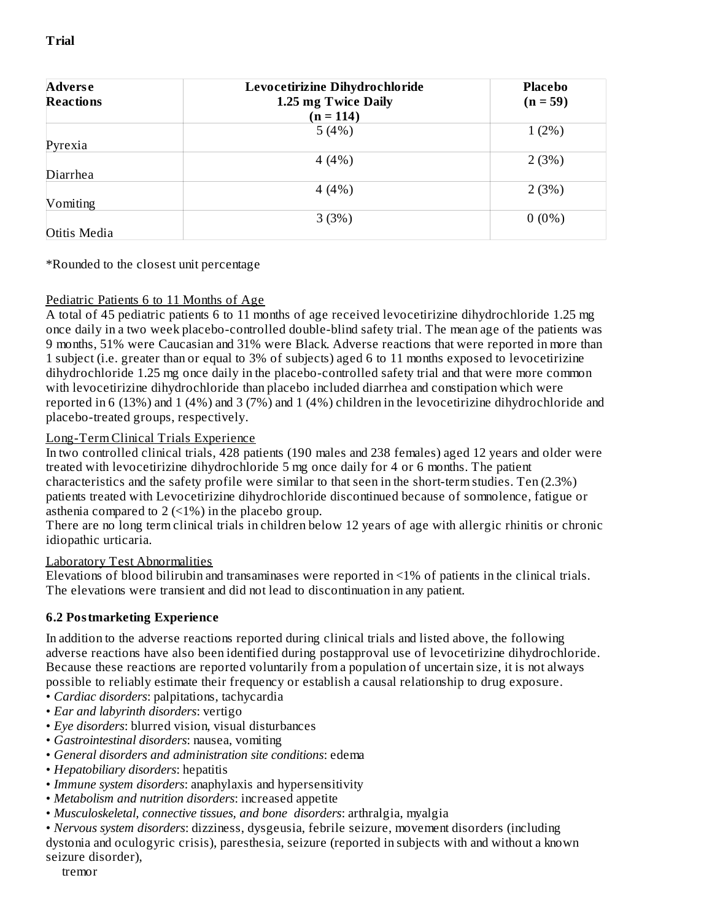| <b>Adverse</b>   | Levocetirizine Dihydrochloride | <b>Placebo</b> |
|------------------|--------------------------------|----------------|
| <b>Reactions</b> | 1.25 mg Twice Daily            | $(n = 59)$     |
|                  | $(n = 114)$                    |                |
|                  | 5(4%)                          | $1(2\%)$       |
| Pyrexia          |                                |                |
|                  | 4(4%)                          | 2(3%)          |
| Diarrhea         |                                |                |
|                  | 4(4%)                          | 2(3%)          |
| Vomiting         |                                |                |
|                  | 3(3%)                          | $0(0\%)$       |
| Otitis Media     |                                |                |

#### \*Rounded to the closest unit percentage

### Pediatric Patients 6 to 11 Months of Age

A total of 45 pediatric patients 6 to 11 months of age received levocetirizine dihydrochloride 1.25 mg once daily in a two week placebo-controlled double-blind safety trial. The mean age of the patients was 9 months, 51% were Caucasian and 31% were Black. Adverse reactions that were reported in more than 1 subject (i.e. greater than or equal to 3% of subjects) aged 6 to 11 months exposed to levocetirizine dihydrochloride 1.25 mg once daily in the placebo-controlled safety trial and that were more common with levocetirizine dihydrochloride than placebo included diarrhea and constipation which were reported in 6 (13%) and 1 (4%) and 3 (7%) and 1 (4%) children in the levocetirizine dihydrochloride and placebo-treated groups, respectively.

### Long-Term Clinical Trials Experience

In two controlled clinical trials, 428 patients (190 males and 238 females) aged 12 years and older were treated with levocetirizine dihydrochloride 5 mg once daily for 4 or 6 months. The patient characteristics and the safety profile were similar to that seen in the short-term studies. Ten (2.3%) patients treated with Levocetirizine dihydrochloride discontinued because of somnolence, fatigue or asthenia compared to 2 (<1%) in the placebo group.

There are no long term clinical trials in children below 12 years of age with allergic rhinitis or chronic idiopathic urticaria.

### Laboratory Test Abnormalities

Elevations of blood bilirubin and transaminases were reported in <1% of patients in the clinical trials. The elevations were transient and did not lead to discontinuation in any patient.

### **6.2 Postmarketing Experience**

In addition to the adverse reactions reported during clinical trials and listed above, the following adverse reactions have also been identified during postapproval use of levocetirizine dihydrochloride. Because these reactions are reported voluntarily from a population of uncertain size, it is not always possible to reliably estimate their frequency or establish a causal relationship to drug exposure.

- *Cardiac disorders*: palpitations, tachycardia
- *Ear and labyrinth disorders*: vertigo
- *Eye disorders*: blurred vision, visual disturbances
- *Gastrointestinal disorders*: nausea, vomiting
- *General disorders and administration site conditions*: edema
- *Hepatobiliary disorders*: hepatitis
- *Immune system disorders*: anaphylaxis and hypersensitivity
- *Metabolism and nutrition disorders*: increased appetite
- *Musculoskeletal, connective tissues, and bone disorders*: arthralgia, myalgia

• *Nervous system disorders*: dizziness, dysgeusia, febrile seizure, movement disorders (including dystonia and oculogyric crisis), paresthesia, seizure (reported in subjects with and without a known seizure disorder),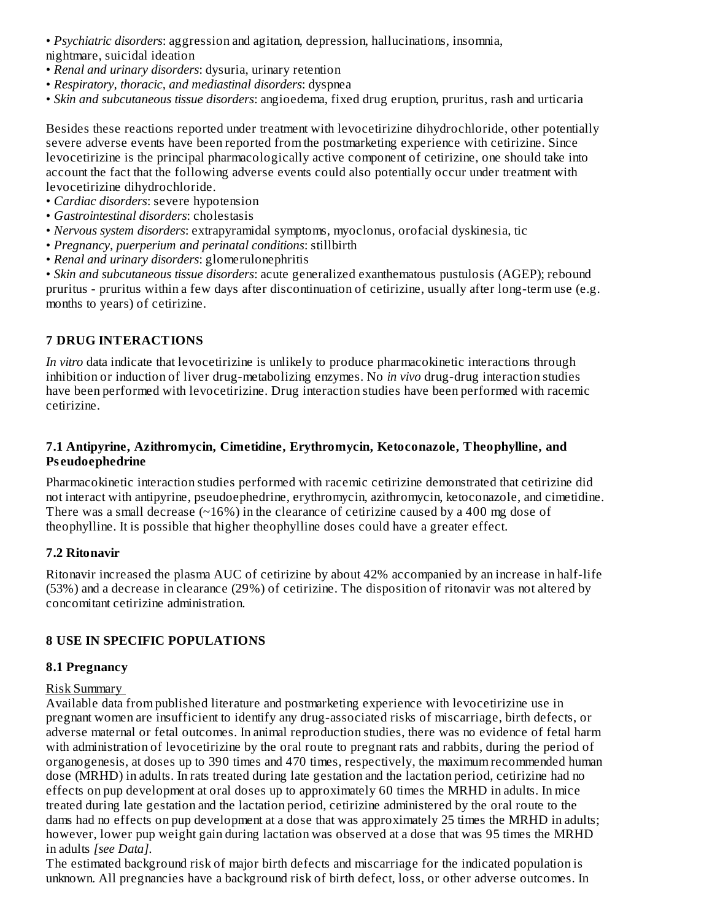• *Psychiatric disorders*: aggression and agitation, depression, hallucinations, insomnia, nightmare, suicidal ideation

- *Renal and urinary disorders*: dysuria, urinary retention
- *Respiratory, thoracic, and mediastinal disorders*: dyspnea
- *Skin and subcutaneous tissue disorders*: angioedema, fixed drug eruption, pruritus, rash and urticaria

Besides these reactions reported under treatment with levocetirizine dihydrochloride, other potentially severe adverse events have been reported from the postmarketing experience with cetirizine. Since levocetirizine is the principal pharmacologically active component of cetirizine, one should take into account the fact that the following adverse events could also potentially occur under treatment with levocetirizine dihydrochloride.

- *Cardiac disorders*: severe hypotension
- *Gastrointestinal disorders*: cholestasis
- *Nervous system disorders*: extrapyramidal symptoms, myoclonus, orofacial dyskinesia, tic
- *Pregnancy, puerperium and perinatal conditions*: stillbirth
- *Renal and urinary disorders*: glomerulonephritis

• *Skin and subcutaneous tissue disorders*: acute generalized exanthematous pustulosis (AGEP); rebound pruritus - pruritus within a few days after discontinuation of cetirizine, usually after long-term use (e.g. months to years) of cetirizine.

#### **7 DRUG INTERACTIONS**

*In vitro* data indicate that levocetirizine is unlikely to produce pharmacokinetic interactions through inhibition or induction of liver drug-metabolizing enzymes. No *in vivo* drug-drug interaction studies have been performed with levocetirizine. Drug interaction studies have been performed with racemic cetirizine.

#### **7.1 Antipyrine, Azithromycin, Cimetidine, Erythromycin, Ketoconazole, Theophylline, and Ps eudoephedrine**

Pharmacokinetic interaction studies performed with racemic cetirizine demonstrated that cetirizine did not interact with antipyrine, pseudoephedrine, erythromycin, azithromycin, ketoconazole, and cimetidine. There was a small decrease  $(\sim 16\%)$  in the clearance of cetirizine caused by a 400 mg dose of theophylline. It is possible that higher theophylline doses could have a greater effect.

#### **7.2 Ritonavir**

Ritonavir increased the plasma AUC of cetirizine by about 42% accompanied by an increase in half-life (53%) and a decrease in clearance (29%) of cetirizine. The disposition of ritonavir was not altered by concomitant cetirizine administration.

### **8 USE IN SPECIFIC POPULATIONS**

#### **8.1 Pregnancy**

#### Risk Summary

Available data from published literature and postmarketing experience with levocetirizine use in pregnant women are insufficient to identify any drug-associated risks of miscarriage, birth defects, or adverse maternal or fetal outcomes. In animal reproduction studies, there was no evidence of fetal harm with administration of levocetirizine by the oral route to pregnant rats and rabbits, during the period of organogenesis, at doses up to 390 times and 470 times, respectively, the maximum recommended human dose (MRHD) in adults. In rats treated during late gestation and the lactation period, cetirizine had no effects on pup development at oral doses up to approximately 60 times the MRHD in adults. In mice treated during late gestation and the lactation period, cetirizine administered by the oral route to the dams had no effects on pup development at a dose that was approximately 25 times the MRHD in adults; however, lower pup weight gain during lactation was observed at a dose that was 95 times the MRHD in adults *[see Data]*.

The estimated background risk of major birth defects and miscarriage for the indicated population is unknown. All pregnancies have a background risk of birth defect, loss, or other adverse outcomes. In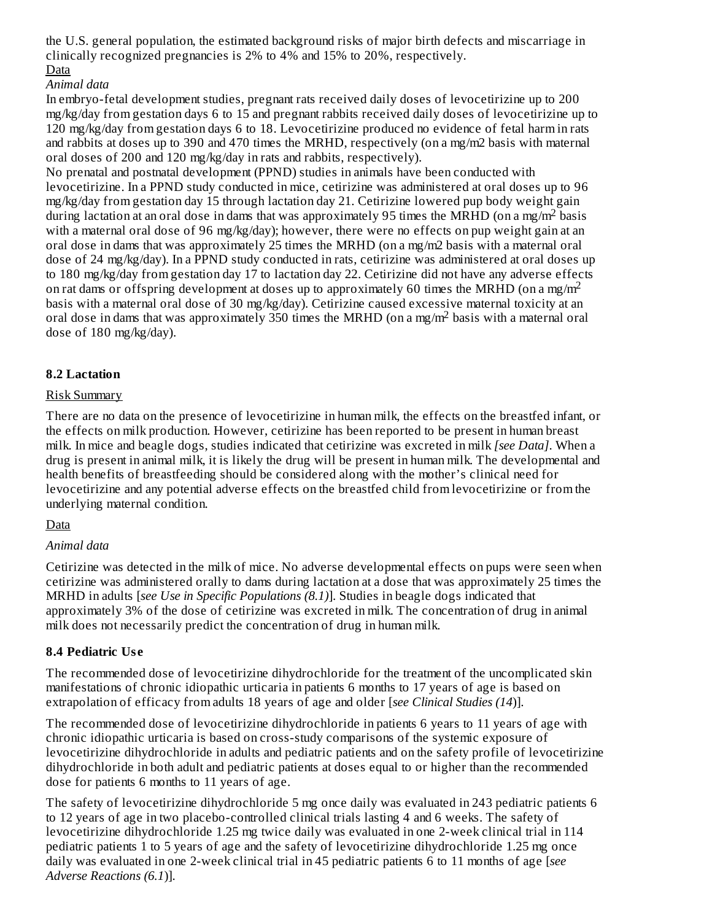the U.S. general population, the estimated background risks of major birth defects and miscarriage in clinically recognized pregnancies is 2% to 4% and 15% to 20%, respectively. Data

# *Animal data*

In embryo-fetal development studies, pregnant rats received daily doses of levocetirizine up to 200 mg/kg/day from gestation days 6 to 15 and pregnant rabbits received daily doses of levocetirizine up to 120 mg/kg/day from gestation days 6 to 18. Levocetirizine produced no evidence of fetal harm in rats and rabbits at doses up to 390 and 470 times the MRHD, respectively (on a mg/m2 basis with maternal oral doses of 200 and 120 mg/kg/day in rats and rabbits, respectively).

No prenatal and postnatal development (PPND) studies in animals have been conducted with levocetirizine. In a PPND study conducted in mice, cetirizine was administered at oral doses up to 96 mg/kg/day from gestation day 15 through lactation day 21. Cetirizine lowered pup body weight gain during lactation at an oral dose in dams that was approximately 95 times the MRHD (on a mg/m<sup>2</sup> basis with a maternal oral dose of 96 mg/kg/day); however, there were no effects on pup weight gain at an oral dose in dams that was approximately 25 times the MRHD (on a mg/m2 basis with a maternal oral dose of 24 mg/kg/day). In a PPND study conducted in rats, cetirizine was administered at oral doses up to 180 mg/kg/day from gestation day 17 to lactation day 22. Cetirizine did not have any adverse effects on rat dams or offspring development at doses up to approximately 60 times the MRHD (on a mg/m<sup>2</sup> basis with a maternal oral dose of 30 mg/kg/day). Cetirizine caused excessive maternal toxicity at an oral dose in dams that was approximately 350 times the MRHD (on a mg/m<sup>2</sup> basis with a maternal oral dose of 180 mg/kg/day).

# **8.2 Lactation**

### Risk Summary

There are no data on the presence of levocetirizine in human milk, the effects on the breastfed infant, or the effects on milk production. However, cetirizine has been reported to be present in human breast milk. In mice and beagle dogs, studies indicated that cetirizine was excreted in milk *[see Data]*. When a drug is present in animal milk, it is likely the drug will be present in human milk. The developmental and health benefits of breastfeeding should be considered along with the mother's clinical need for levocetirizine and any potential adverse effects on the breastfed child from levocetirizine or from the underlying maternal condition.

# **Data**

### *Animal data*

Cetirizine was detected in the milk of mice. No adverse developmental effects on pups were seen when cetirizine was administered orally to dams during lactation at a dose that was approximately 25 times the MRHD in adults [*see Use in Specific Populations (8.1)*]. Studies in beagle dogs indicated that approximately 3% of the dose of cetirizine was excreted in milk. The concentration of drug in animal milk does not necessarily predict the concentration of drug in human milk.

# **8.4 Pediatric Us e**

The recommended dose of levocetirizine dihydrochloride for the treatment of the uncomplicated skin manifestations of chronic idiopathic urticaria in patients 6 months to 17 years of age is based on extrapolation of efficacy from adults 18 years of age and older [*see Clinical Studies (14*)].

The recommended dose of levocetirizine dihydrochloride in patients 6 years to 11 years of age with chronic idiopathic urticaria is based on cross-study comparisons of the systemic exposure of levocetirizine dihydrochloride in adults and pediatric patients and on the safety profile of levocetirizine dihydrochloride in both adult and pediatric patients at doses equal to or higher than the recommended dose for patients 6 months to 11 years of age.

The safety of levocetirizine dihydrochloride 5 mg once daily was evaluated in 243 pediatric patients 6 to 12 years of age in two placebo-controlled clinical trials lasting 4 and 6 weeks. The safety of levocetirizine dihydrochloride 1.25 mg twice daily was evaluated in one 2-week clinical trial in 114 pediatric patients 1 to 5 years of age and the safety of levocetirizine dihydrochloride 1.25 mg once daily was evaluated in one 2-week clinical trial in 45 pediatric patients 6 to 11 months of age [*see Adverse Reactions (6.1*)].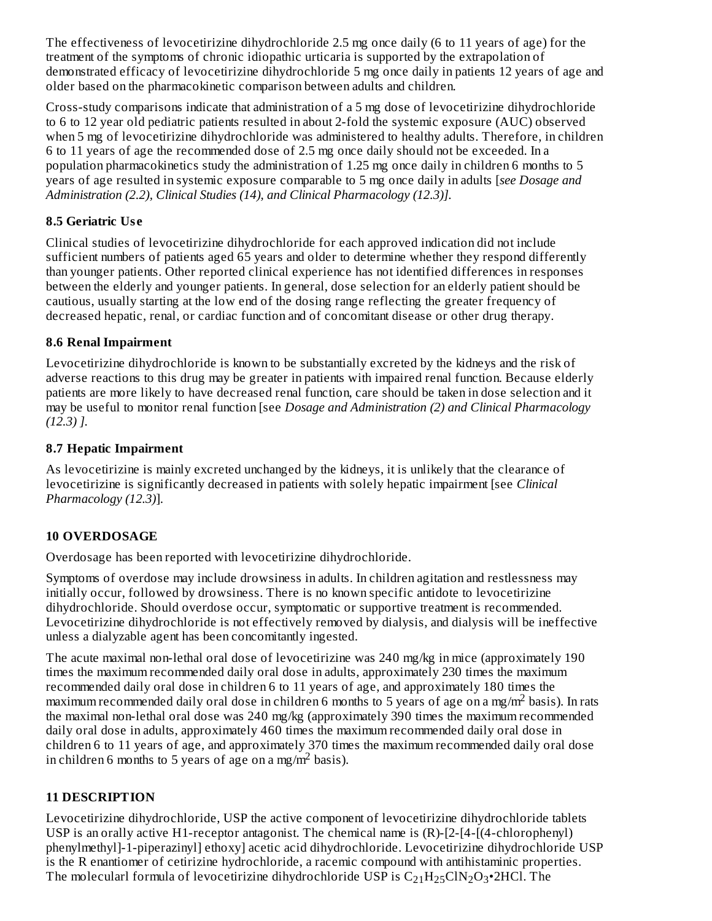The effectiveness of levocetirizine dihydrochloride 2.5 mg once daily (6 to 11 years of age) for the treatment of the symptoms of chronic idiopathic urticaria is supported by the extrapolation of demonstrated efficacy of levocetirizine dihydrochloride 5 mg once daily in patients 12 years of age and older based on the pharmacokinetic comparison between adults and children.

Cross-study comparisons indicate that administration of a 5 mg dose of levocetirizine dihydrochloride to 6 to 12 year old pediatric patients resulted in about 2-fold the systemic exposure (AUC) observed when 5 mg of levocetirizine dihydrochloride was administered to healthy adults. Therefore, in children 6 to 11 years of age the recommended dose of 2.5 mg once daily should not be exceeded. In a population pharmacokinetics study the administration of 1.25 mg once daily in children 6 months to 5 years of age resulted in systemic exposure comparable to 5 mg once daily in adults [*see Dosage and Administration (2.2), Clinical Studies (14), and Clinical Pharmacology (12.3)].*

# **8.5 Geriatric Us e**

Clinical studies of levocetirizine dihydrochloride for each approved indication did not include sufficient numbers of patients aged 65 years and older to determine whether they respond differently than younger patients. Other reported clinical experience has not identified differences in responses between the elderly and younger patients. In general, dose selection for an elderly patient should be cautious, usually starting at the low end of the dosing range reflecting the greater frequency of decreased hepatic, renal, or cardiac function and of concomitant disease or other drug therapy.

### **8.6 Renal Impairment**

Levocetirizine dihydrochloride is known to be substantially excreted by the kidneys and the risk of adverse reactions to this drug may be greater in patients with impaired renal function. Because elderly patients are more likely to have decreased renal function, care should be taken in dose selection and it may be useful to monitor renal function [see *Dosage and Administration (2) and Clinical Pharmacology (12.3) ].*

### **8.7 Hepatic Impairment**

As levocetirizine is mainly excreted unchanged by the kidneys, it is unlikely that the clearance of levocetirizine is significantly decreased in patients with solely hepatic impairment [see *Clinical Pharmacology (12.3)*].

# **10 OVERDOSAGE**

Overdosage has been reported with levocetirizine dihydrochloride.

Symptoms of overdose may include drowsiness in adults. In children agitation and restlessness may initially occur, followed by drowsiness. There is no known specific antidote to levocetirizine dihydrochloride. Should overdose occur, symptomatic or supportive treatment is recommended. Levocetirizine dihydrochloride is not effectively removed by dialysis, and dialysis will be ineffective unless a dialyzable agent has been concomitantly ingested.

The acute maximal non-lethal oral dose of levocetirizine was 240 mg/kg in mice (approximately 190 times the maximum recommended daily oral dose in adults, approximately 230 times the maximum recommended daily oral dose in children 6 to 11 years of age, and approximately 180 times the maximum recommended daily oral dose in children 6 months to 5 years of age on a mg/m<sup>2</sup> basis). In rats the maximal non-lethal oral dose was 240 mg/kg (approximately 390 times the maximum recommended daily oral dose in adults, approximately 460 times the maximum recommended daily oral dose in children 6 to 11 years of age, and approximately 370 times the maximum recommended daily oral dose in children 6 months to 5 years of age on a mg/m<sup>2</sup> basis).

# **11 DESCRIPTION**

Levocetirizine dihydrochloride, USP the active component of levocetirizine dihydrochloride tablets USP is an orally active H1-receptor antagonist. The chemical name is (R)-[2-[4-[(4-chlorophenyl) phenylmethyl]-1-piperazinyl] ethoxy] acetic acid dihydrochloride. Levocetirizine dihydrochloride USP is the R enantiomer of cetirizine hydrochloride, a racemic compound with antihistaminic properties. The molecularl formula of levocetirizine dihydrochloride USP is  $C_{21}H_{25}CIN_2O_3$ •2HCl. The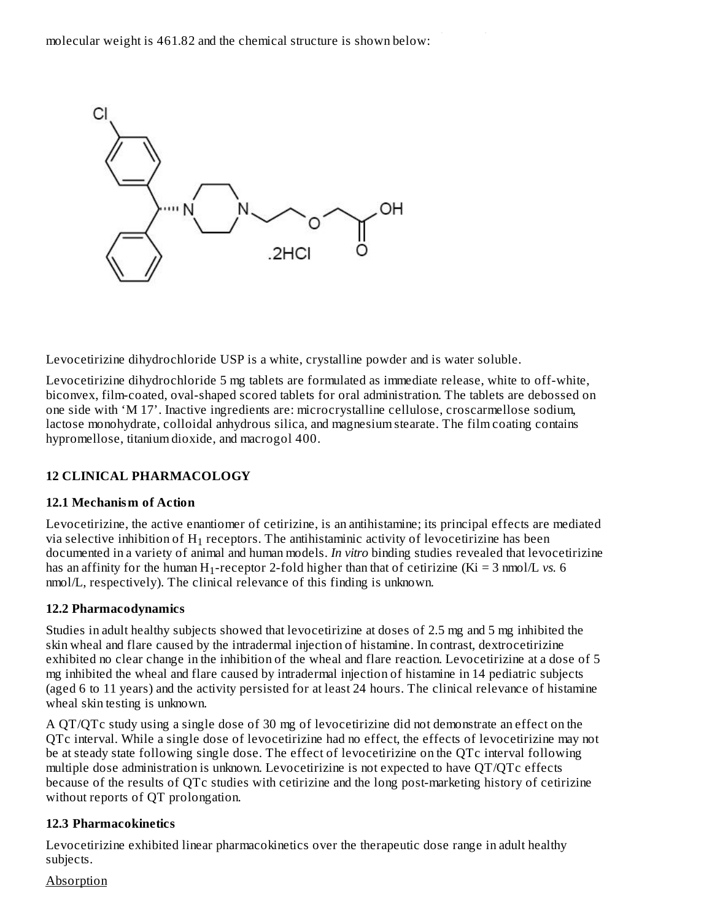

Levocetirizine dihydrochloride USP is a white, crystalline powder and is water soluble.

Levocetirizine dihydrochloride 5 mg tablets are formulated as immediate release, white to off-white, biconvex, film-coated, oval-shaped scored tablets for oral administration. The tablets are debossed on one side with 'M 17'. Inactive ingredients are: microcrystalline cellulose, croscarmellose sodium, lactose monohydrate, colloidal anhydrous silica, and magnesium stearate. The film coating contains hypromellose, titanium dioxide, and macrogol 400.

# **12 CLINICAL PHARMACOLOGY**

### **12.1 Mechanism of Action**

Levocetirizine, the active enantiomer of cetirizine, is an antihistamine; its principal effects are mediated via selective inhibition of  $\rm H_{1}$  receptors. The antihistaminic activity of levocetirizine has been documented in a variety of animal and human models. *In vitro* binding studies revealed that levocetirizine has an affinity for the human  $H_1$ -receptor 2-fold higher than that of cetirizine (Ki = 3 nmol/L *vs*. 6 nmol/L, respectively). The clinical relevance of this finding is unknown.

### **12.2 Pharmacodynamics**

Studies in adult healthy subjects showed that levocetirizine at doses of 2.5 mg and 5 mg inhibited the skin wheal and flare caused by the intradermal injection of histamine. In contrast, dextrocetirizine exhibited no clear change in the inhibition of the wheal and flare reaction. Levocetirizine at a dose of 5 mg inhibited the wheal and flare caused by intradermal injection of histamine in 14 pediatric subjects (aged 6 to 11 years) and the activity persisted for at least 24 hours. The clinical relevance of histamine wheal skin testing is unknown.

A QT/QTc study using a single dose of 30 mg of levocetirizine did not demonstrate an effect on the QTc interval. While a single dose of levocetirizine had no effect, the effects of levocetirizine may not be at steady state following single dose. The effect of levocetirizine on the QTc interval following multiple dose administration is unknown. Levocetirizine is not expected to have QT/QTc effects because of the results of QTc studies with cetirizine and the long post-marketing history of cetirizine without reports of QT prolongation.

#### **12.3 Pharmacokinetics**

Levocetirizine exhibited linear pharmacokinetics over the therapeutic dose range in adult healthy subjects.

#### **Absorption**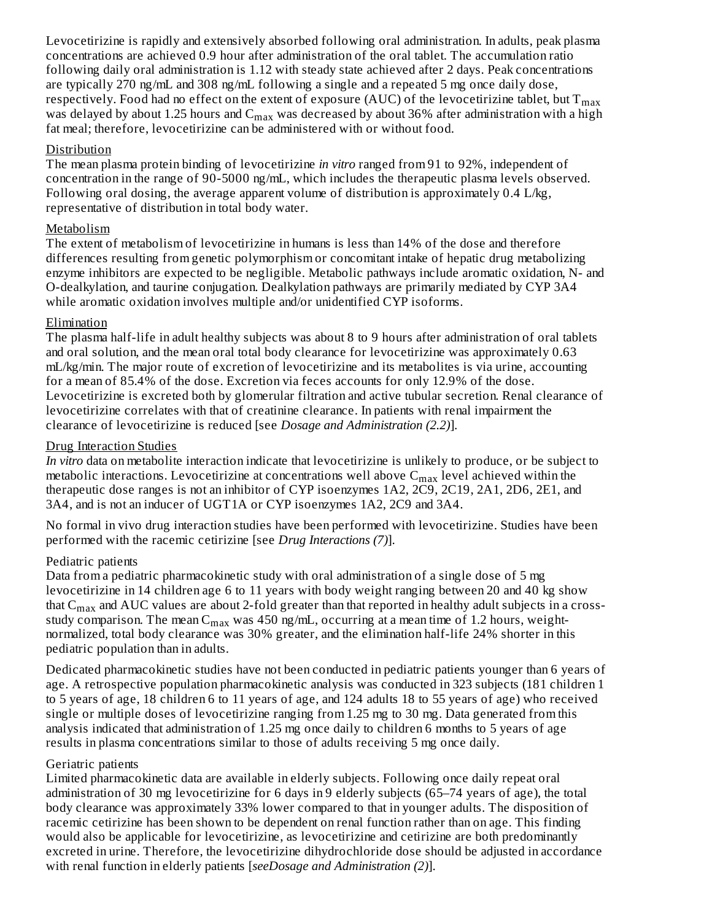Levocetirizine is rapidly and extensively absorbed following oral administration. In adults, peak plasma concentrations are achieved 0.9 hour after administration of the oral tablet. The accumulation ratio following daily oral administration is 1.12 with steady state achieved after 2 days. Peak concentrations are typically 270 ng/mL and 308 ng/mL following a single and a repeated 5 mg once daily dose, respectively. Food had no effect on the extent of exposure (AUC) of the levocetirizine tablet, but  $\rm T_{max}$ was delayed by about 1.25 hours and  $\rm C_{max}$  was decreased by about 36% after administration with a high fat meal; therefore, levocetirizine can be administered with or without food.

### Distribution

The mean plasma protein binding of levocetirizine *in vitro* ranged from 91 to 92%, independent of concentration in the range of 90-5000 ng/mL, which includes the therapeutic plasma levels observed. Following oral dosing, the average apparent volume of distribution is approximately 0.4 L/kg, representative of distribution in total body water.

### Metabolism

The extent of metabolism of levocetirizine in humans is less than 14% of the dose and therefore differences resulting from genetic polymorphism or concomitant intake of hepatic drug metabolizing enzyme inhibitors are expected to be negligible. Metabolic pathways include aromatic oxidation, N- and O-dealkylation, and taurine conjugation. Dealkylation pathways are primarily mediated by CYP 3A4 while aromatic oxidation involves multiple and/or unidentified CYP isoforms.

### Elimination

The plasma half-life in adult healthy subjects was about 8 to 9 hours after administration of oral tablets and oral solution, and the mean oral total body clearance for levocetirizine was approximately 0.63 mL/kg/min. The major route of excretion of levocetirizine and its metabolites is via urine, accounting for a mean of 85.4% of the dose. Excretion via feces accounts for only 12.9% of the dose. Levocetirizine is excreted both by glomerular filtration and active tubular secretion. Renal clearance of levocetirizine correlates with that of creatinine clearance. In patients with renal impairment the clearance of levocetirizine is reduced [see *Dosage and Administration (2.2)*].

### Drug Interaction Studies

*In vitro* data on metabolite interaction indicate that levocetirizine is unlikely to produce, or be subject to metabolic interactions. Levocetirizine at concentrations well above  $\mathsf{C}_{\max}$  level achieved within the therapeutic dose ranges is not an inhibitor of CYP isoenzymes 1A2, 2C9, 2C19, 2A1, 2D6, 2E1, and 3A4, and is not an inducer of UGT1A or CYP isoenzymes 1A2, 2C9 and 3A4.

No formal in vivo drug interaction studies have been performed with levocetirizine. Studies have been performed with the racemic cetirizine [see *Drug Interactions (7)*].

# Pediatric patients

Data from a pediatric pharmacokinetic study with oral administration of a single dose of 5 mg levocetirizine in 14 children age 6 to 11 years with body weight ranging between 20 and 40 kg show that  $\rm{C_{max}}$  and  $\rm{AUC}$  values are about 2-fold greater than that reported in healthy adult subjects in a crossstudy comparison. The mean  $\mathsf{C_{max}}$  was 450 ng/mL, occurring at a mean time of 1.2 hours, weightnormalized, total body clearance was 30% greater, and the elimination half-life 24% shorter in this pediatric population than in adults.

Dedicated pharmacokinetic studies have not been conducted in pediatric patients younger than 6 years of age. A retrospective population pharmacokinetic analysis was conducted in 323 subjects (181 children 1 to 5 years of age, 18 children 6 to 11 years of age, and 124 adults 18 to 55 years of age) who received single or multiple doses of levocetirizine ranging from 1.25 mg to 30 mg. Data generated from this analysis indicated that administration of 1.25 mg once daily to children 6 months to 5 years of age results in plasma concentrations similar to those of adults receiving 5 mg once daily.

### Geriatric patients

Limited pharmacokinetic data are available in elderly subjects. Following once daily repeat oral administration of 30 mg levocetirizine for 6 days in 9 elderly subjects (65–74 years of age), the total body clearance was approximately 33% lower compared to that in younger adults. The disposition of racemic cetirizine has been shown to be dependent on renal function rather than on age. This finding would also be applicable for levocetirizine, as levocetirizine and cetirizine are both predominantly excreted in urine. Therefore, the levocetirizine dihydrochloride dose should be adjusted in accordance with renal function in elderly patients [*seeDosage and Administration (2)*].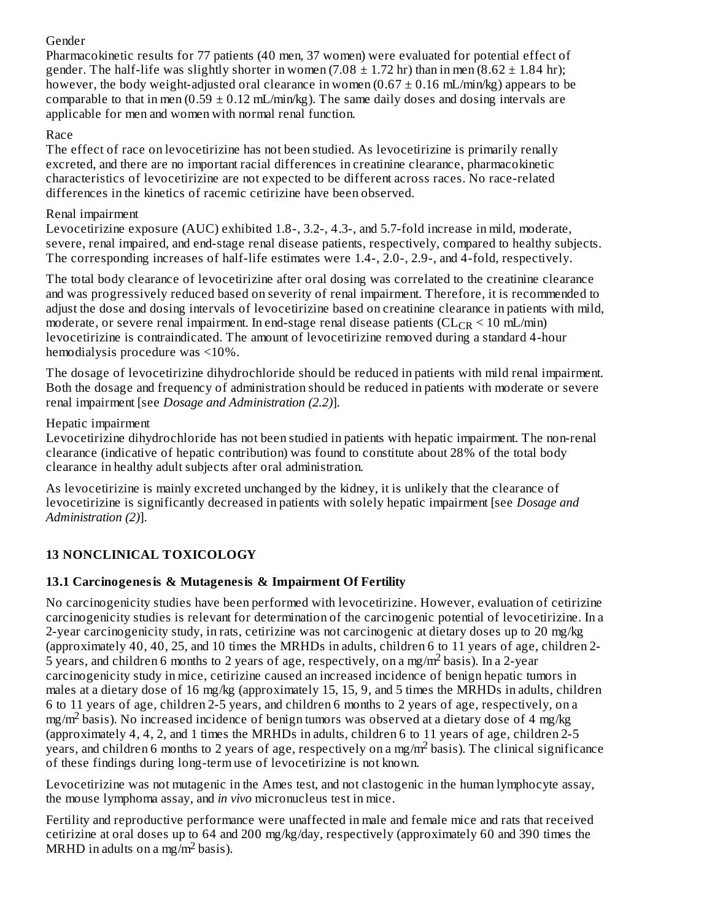# Gender

Pharmacokinetic results for 77 patients (40 men, 37 women) were evaluated for potential effect of gender. The half-life was slightly shorter in women (7.08  $\pm$  1.72 hr) than in men (8.62  $\pm$  1.84 hr); however, the body weight-adjusted oral clearance in women  $(0.67 \pm 0.16 \text{ mL/min/kg})$  appears to be comparable to that in men  $(0.59 \pm 0.12 \text{ mL/min/kg})$ . The same daily doses and dosing intervals are applicable for men and women with normal renal function.

### Race

The effect of race on levocetirizine has not been studied. As levocetirizine is primarily renally excreted, and there are no important racial differences in creatinine clearance, pharmacokinetic characteristics of levocetirizine are not expected to be different across races. No race-related differences in the kinetics of racemic cetirizine have been observed.

### Renal impairment

Levocetirizine exposure (AUC) exhibited 1.8-, 3.2-, 4.3-, and 5.7-fold increase in mild, moderate, severe, renal impaired, and end-stage renal disease patients, respectively, compared to healthy subjects. The corresponding increases of half-life estimates were 1.4-, 2.0-, 2.9-, and 4-fold, respectively.

The total body clearance of levocetirizine after oral dosing was correlated to the creatinine clearance and was progressively reduced based on severity of renal impairment. Therefore, it is recommended to adjust the dose and dosing intervals of levocetirizine based on creatinine clearance in patients with mild, moderate, or severe renal impairment. In end-stage renal disease patients ( $\rm CL_{CR}$  < 10 mL/min) levocetirizine is contraindicated. The amount of levocetirizine removed during a standard 4-hour hemodialysis procedure was <10%.

The dosage of levocetirizine dihydrochloride should be reduced in patients with mild renal impairment. Both the dosage and frequency of administration should be reduced in patients with moderate or severe renal impairment [see *Dosage and Administration (2.2)*].

### Hepatic impairment

Levocetirizine dihydrochloride has not been studied in patients with hepatic impairment. The non-renal clearance (indicative of hepatic contribution) was found to constitute about 28% of the total body clearance in healthy adult subjects after oral administration.

As levocetirizine is mainly excreted unchanged by the kidney, it is unlikely that the clearance of levocetirizine is significantly decreased in patients with solely hepatic impairment [see *Dosage and Administration (2)*].

# **13 NONCLINICAL TOXICOLOGY**

# **13.1 Carcinogenesis & Mutagenesis & Impairment Of Fertility**

No carcinogenicity studies have been performed with levocetirizine. However, evaluation of cetirizine carcinogenicity studies is relevant for determination of the carcinogenic potential of levocetirizine. In a 2-year carcinogenicity study, in rats, cetirizine was not carcinogenic at dietary doses up to 20 mg/kg (approximately 40, 40, 25, and 10 times the MRHDs in adults, children 6 to 11 years of age, children 2-  $\frac{1}{5}$  years, and children 6 months to 2 years of age, respectively, on a mg/m<sup>2</sup> basis). In a 2-year carcinogenicity study in mice, cetirizine caused an increased incidence of benign hepatic tumors in males at a dietary dose of 16 mg/kg (approximately 15, 15, 9, and 5 times the MRHDs in adults, children 6 to 11 years of age, children 2-5 years, and children 6 months to 2 years of age, respectively, on a mg/m<sup>2</sup> basis). No increased incidence of benign tumors was observed at a dietary dose of 4 mg/kg (approximately 4, 4, 2, and 1 times the MRHDs in adults, children 6 to 11 years of age, children 2-5  $y$ ears, and children 6 months to 2 years of age, respectively on a mg/m<sup>2</sup> basis). The clinical significance of these findings during long-term use of levocetirizine is not known.

Levocetirizine was not mutagenic in the Ames test, and not clastogenic in the human lymphocyte assay, the mouse lymphoma assay, and *in vivo* micronucleus test in mice.

Fertility and reproductive performance were unaffected in male and female mice and rats that received cetirizine at oral doses up to 64 and 200 mg/kg/day, respectively (approximately 60 and 390 times the MRHD in adults on a mg/m<sup>2</sup> basis).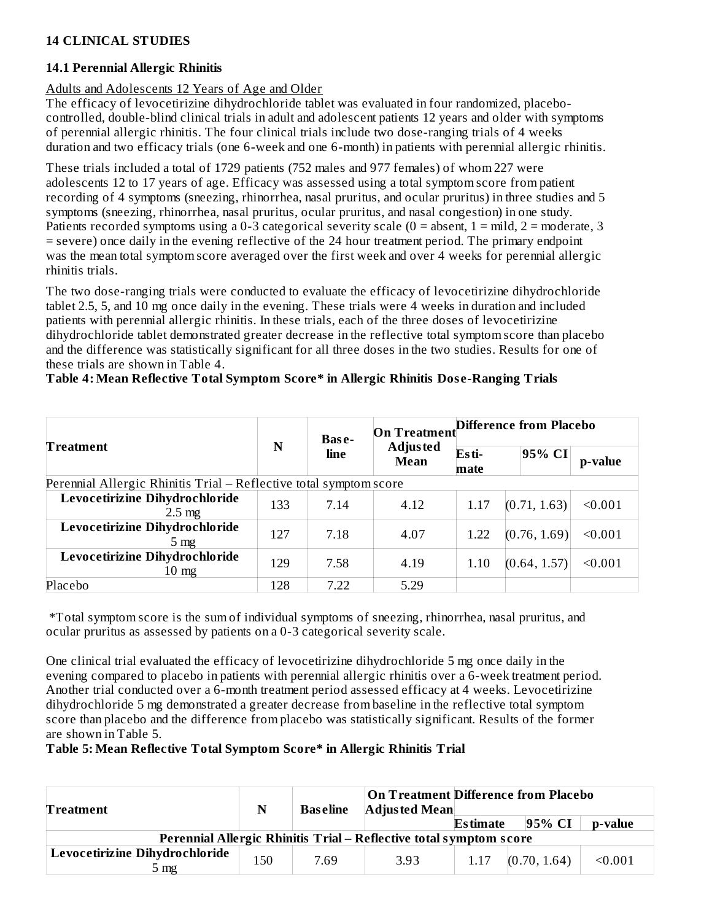### **14 CLINICAL STUDIES**

#### **14.1 Perennial Allergic Rhinitis**

#### Adults and Adolescents 12 Years of Age and Older

The efficacy of levocetirizine dihydrochloride tablet was evaluated in four randomized, placebocontrolled, double-blind clinical trials in adult and adolescent patients 12 years and older with symptoms of perennial allergic rhinitis. The four clinical trials include two dose-ranging trials of 4 weeks duration and two efficacy trials (one 6-week and one 6-month) in patients with perennial allergic rhinitis.

These trials included a total of 1729 patients (752 males and 977 females) of whom 227 were adolescents 12 to 17 years of age. Efficacy was assessed using a total symptom score from patient recording of 4 symptoms (sneezing, rhinorrhea, nasal pruritus, and ocular pruritus) in three studies and 5 symptoms (sneezing, rhinorrhea, nasal pruritus, ocular pruritus, and nasal congestion) in one study. Patients recorded symptoms using a 0-3 categorical severity scale ( $0 =$  absent,  $1 =$  mild,  $2 =$  moderate, 3 = severe) once daily in the evening reflective of the 24 hour treatment period. The primary endpoint was the mean total symptom score averaged over the first week and over 4 weeks for perennial allergic rhinitis trials.

The two dose-ranging trials were conducted to evaluate the efficacy of levocetirizine dihydrochloride tablet 2.5, 5, and 10 mg once daily in the evening. These trials were 4 weeks in duration and included patients with perennial allergic rhinitis. In these trials, each of the three doses of levocetirizine dihydrochloride tablet demonstrated greater decrease in the reflective total symptom score than placebo and the difference was statistically significant for all three doses in the two studies. Results for one of these trials are shown in Table 4.

#### **Table 4: Mean Reflective Total Symptom Score\* in Allergic Rhinitis Dos e-Ranging Trials**

|                                                                    | Base- |      | <b>On Treatment</b>            | Difference from Placebo |              |         |  |
|--------------------------------------------------------------------|-------|------|--------------------------------|-------------------------|--------------|---------|--|
| Treatment                                                          | N     | line | <b>Adjusted</b><br><b>Mean</b> | Esti-<br>mate           | 95% CI       | p-value |  |
| Perennial Allergic Rhinitis Trial – Reflective total symptom score |       |      |                                |                         |              |         |  |
| Levocetirizine Dihydrochloride<br>$2.5 \text{ mg}$                 | 133   | 7.14 | 4.12                           | 1.17                    | (0.71, 1.63) | < 0.001 |  |
| Levocetirizine Dihydrochloride<br>$5 \text{ mg}$                   | 127   | 7.18 | 4.07                           | 1.22                    | (0.76, 1.69) | < 0.001 |  |
| Levocetirizine Dihydrochloride<br>$10 \text{ mg}$                  | 129   | 7.58 | 4.19                           | 1.10                    | (0.64, 1.57) | < 0.001 |  |
| Placebo                                                            | 128   | 7.22 | 5.29                           |                         |              |         |  |

\*Total symptom score is the sum of individual symptoms of sneezing, rhinorrhea, nasal pruritus, and ocular pruritus as assessed by patients on a 0-3 categorical severity scale.

One clinical trial evaluated the efficacy of levocetirizine dihydrochloride 5 mg once daily in the evening compared to placebo in patients with perennial allergic rhinitis over a 6-week treatment period. Another trial conducted over a 6-month treatment period assessed efficacy at 4 weeks. Levocetirizine dihydrochloride 5 mg demonstrated a greater decrease from baseline in the reflective total symptom score than placebo and the difference from placebo was statistically significant. Results of the former are shown in Table 5.

#### **Table 5: Mean Reflective Total Symptom Score\* in Allergic Rhinitis Trial**

| Treatment                                                          | N   | <b>Baseline</b> | <b>Adjusted Mean</b> | On Treatment Difference from Placebo |              |         |
|--------------------------------------------------------------------|-----|-----------------|----------------------|--------------------------------------|--------------|---------|
|                                                                    |     |                 |                      | <b>Estimate</b>                      | 95% CI       | p-value |
| Perennial Allergic Rhinitis Trial - Reflective total symptom score |     |                 |                      |                                      |              |         |
| Levocetirizine Dihydrochloride<br>$5 \text{ mg}$                   | 150 | 7.69            | 3.93                 | 1.17                                 | (0.70, 1.64) | < 0.001 |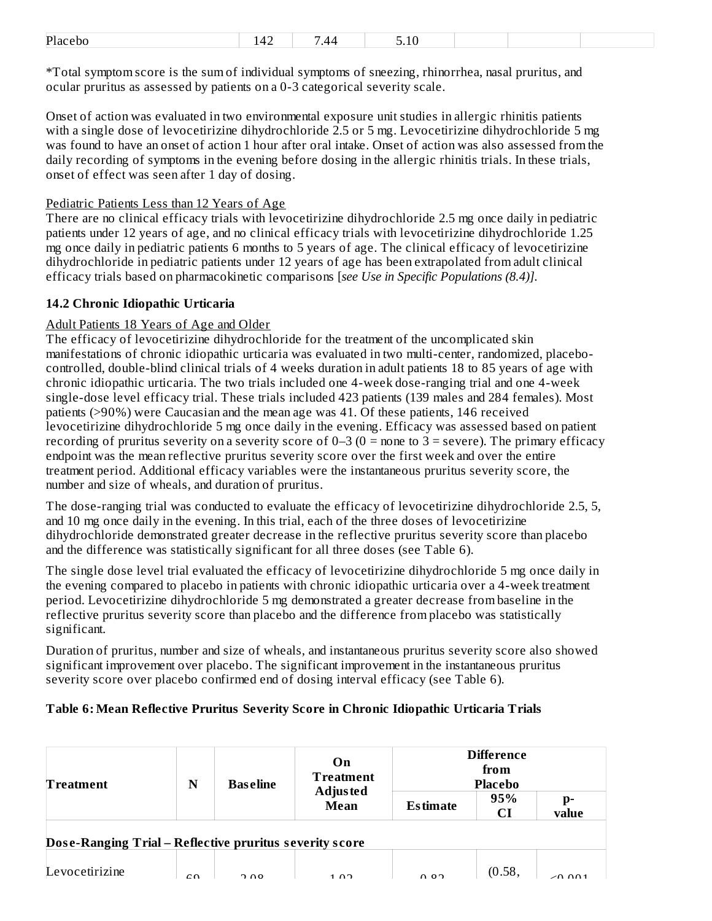| Plac<br>reno | . . | $\sqrt{ }$<br>44 | $\overline{ }$<br>10 |  |  |
|--------------|-----|------------------|----------------------|--|--|
|              |     |                  |                      |  |  |

\*Total symptom score is the sum of individual symptoms of sneezing, rhinorrhea, nasal pruritus, and ocular pruritus as assessed by patients on a 0-3 categorical severity scale.

Onset of action was evaluated in two environmental exposure unit studies in allergic rhinitis patients with a single dose of levocetirizine dihydrochloride 2.5 or 5 mg. Levocetirizine dihydrochloride 5 mg was found to have an onset of action 1 hour after oral intake. Onset of action was also assessed from the daily recording of symptoms in the evening before dosing in the allergic rhinitis trials. In these trials, onset of effect was seen after 1 day of dosing.

#### Pediatric Patients Less than 12 Years of Age

There are no clinical efficacy trials with levocetirizine dihydrochloride 2.5 mg once daily in pediatric patients under 12 years of age, and no clinical efficacy trials with levocetirizine dihydrochloride 1.25 mg once daily in pediatric patients 6 months to 5 years of age. The clinical efficacy of levocetirizine dihydrochloride in pediatric patients under 12 years of age has been extrapolated from adult clinical efficacy trials based on pharmacokinetic comparisons [*see Use in Specific Populations (8.4)].*

### **14.2 Chronic Idiopathic Urticaria**

#### Adult Patients 18 Years of Age and Older

The efficacy of levocetirizine dihydrochloride for the treatment of the uncomplicated skin manifestations of chronic idiopathic urticaria was evaluated in two multi-center, randomized, placebocontrolled, double-blind clinical trials of 4 weeks duration in adult patients 18 to 85 years of age with chronic idiopathic urticaria. The two trials included one 4-week dose-ranging trial and one 4-week single-dose level efficacy trial. These trials included 423 patients (139 males and 284 females). Most patients (>90%) were Caucasian and the mean age was 41. Of these patients, 146 received levocetirizine dihydrochloride 5 mg once daily in the evening. Efficacy was assessed based on patient recording of pruritus severity on a severity score of  $0-3$  ( $0 =$  none to  $3 =$  severe). The primary efficacy endpoint was the mean reflective pruritus severity score over the first week and over the entire treatment period. Additional efficacy variables were the instantaneous pruritus severity score, the number and size of wheals, and duration of pruritus.

The dose-ranging trial was conducted to evaluate the efficacy of levocetirizine dihydrochloride 2.5, 5, and 10 mg once daily in the evening. In this trial, each of the three doses of levocetirizine dihydrochloride demonstrated greater decrease in the reflective pruritus severity score than placebo and the difference was statistically significant for all three doses (see Table 6).

The single dose level trial evaluated the efficacy of levocetirizine dihydrochloride 5 mg once daily in the evening compared to placebo in patients with chronic idiopathic urticaria over a 4-week treatment period. Levocetirizine dihydrochloride 5 mg demonstrated a greater decrease from baseline in the reflective pruritus severity score than placebo and the difference from placebo was statistically significant.

Duration of pruritus, number and size of wheals, and instantaneous pruritus severity score also showed significant improvement over placebo. The significant improvement in the instantaneous pruritus severity score over placebo confirmed end of dosing interval efficacy (see Table 6).

#### **Table 6: Mean Reflective Pruritus Severity Score in Chronic Idiopathic Urticaria Trials**

| Treatment                                               | N          | On<br><b>Treatment</b><br><b>Baseline</b><br>Adjus ted |             | <b>Difference</b><br>from<br><b>Placebo</b> |           |             |  |
|---------------------------------------------------------|------------|--------------------------------------------------------|-------------|---------------------------------------------|-----------|-------------|--|
|                                                         |            |                                                        | <b>Mean</b> | <b>Estimate</b>                             | 95%<br>CI | p-<br>value |  |
| Dose-Ranging Trial - Reflective pruritus severity score |            |                                                        |             |                                             |           |             |  |
| Levocetirizine                                          | $\sqrt{2}$ | 0.00                                                   | 1.02        | 0.02                                        | (0.58)    |             |  |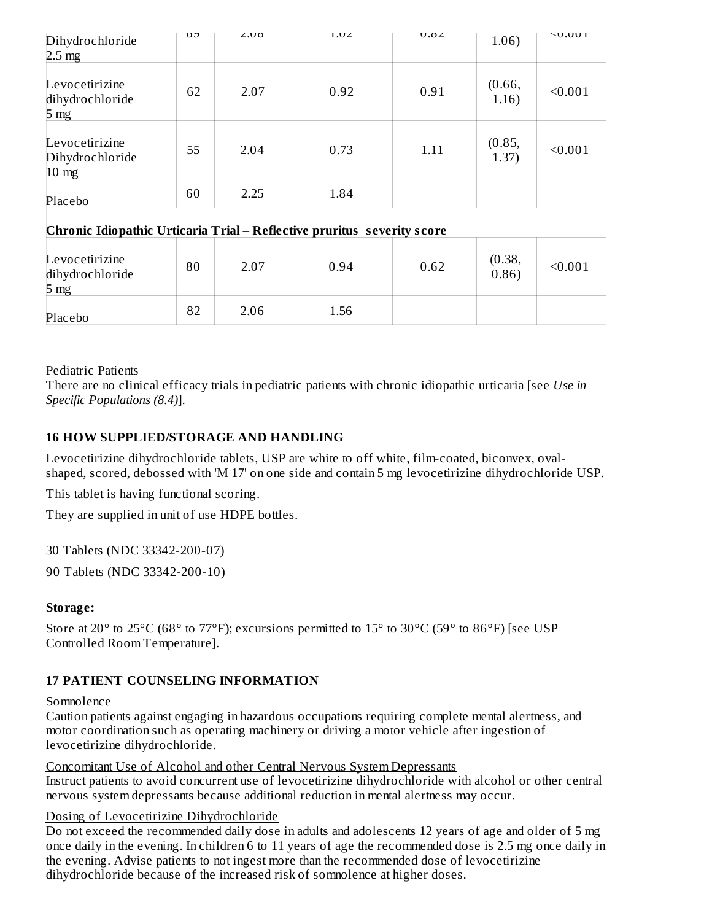| Dihydrochloride<br>$2.5 \text{ mg}$                  | <b>DY</b>                                                               | 2.00 | 1.02 | U.02 | 1.06)           | $\sim$ 0.001 |  |  |
|------------------------------------------------------|-------------------------------------------------------------------------|------|------|------|-----------------|--------------|--|--|
| Levocetirizine<br>dihydrochloride<br>$5 \text{ mg}$  | 62                                                                      | 2.07 | 0.92 | 0.91 | (0.66,<br>1.16) | < 0.001      |  |  |
| Levocetirizine<br>Dihydrochloride<br>$10 \text{ mg}$ | 55                                                                      | 2.04 | 0.73 | 1.11 | (0.85,<br>1.37) | < 0.001      |  |  |
| Placebo                                              | 60                                                                      | 2.25 | 1.84 |      |                 |              |  |  |
|                                                      | Chronic Idiopathic Urticaria Trial - Reflective pruritus severity score |      |      |      |                 |              |  |  |
| Levocetirizine<br>dihydrochloride<br>5 <sub>mg</sub> | 80                                                                      | 2.07 | 0.94 | 0.62 | (0.38,<br>0.86) | < 0.001      |  |  |
| Placebo                                              | 82                                                                      | 2.06 | 1.56 |      |                 |              |  |  |

#### Pediatric Patients

There are no clinical efficacy trials in pediatric patients with chronic idiopathic urticaria [see *Use in Specific Populations (8.4)*].

### **16 HOW SUPPLIED/STORAGE AND HANDLING**

Levocetirizine dihydrochloride tablets, USP are white to off white, film-coated, biconvex, ovalshaped, scored, debossed with 'M 17' on one side and contain 5 mg levocetirizine dihydrochloride USP.

This tablet is having functional scoring.

They are supplied in unit of use HDPE bottles.

30 Tablets (NDC 33342-200-07)

90 Tablets (NDC 33342-200-10)

### **Storage:**

Store at 20° to 25°C (68° to 77°F); excursions permitted to 15° to 30°C (59° to 86°F) [see USP Controlled Room Temperature].

### **17 PATIENT COUNSELING INFORMATION**

#### Somnolence

Caution patients against engaging in hazardous occupations requiring complete mental alertness, and motor coordination such as operating machinery or driving a motor vehicle after ingestion of levocetirizine dihydrochloride.

Concomitant Use of Alcohol and other Central Nervous System Depressants Instruct patients to avoid concurrent use of levocetirizine dihydrochloride with alcohol or other central nervous system depressants because additional reduction in mental alertness may occur.

#### Dosing of Levocetirizine Dihydrochloride

Do not exceed the recommended daily dose in adults and adolescents 12 years of age and older of 5 mg once daily in the evening. In children 6 to 11 years of age the recommended dose is 2.5 mg once daily in the evening. Advise patients to not ingest more than the recommended dose of levocetirizine dihydrochloride because of the increased risk of somnolence at higher doses.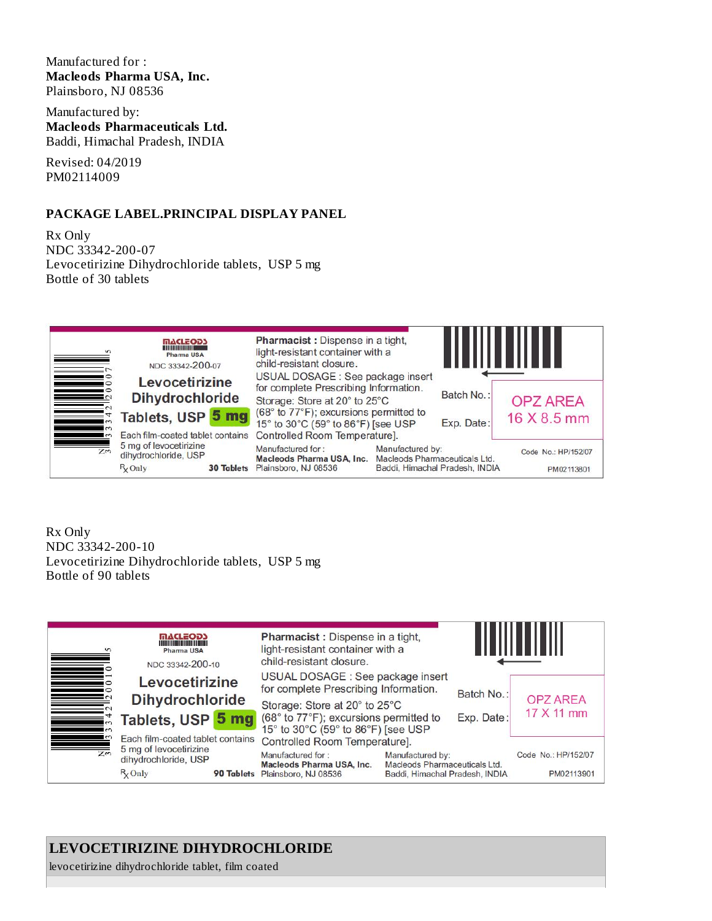#### Manufactured for : **Macleods Pharma USA, Inc.** Plainsboro, NJ 08536

Manufactured by: **Macleods Pharmaceuticals Ltd.** Baddi, Himachal Pradesh, INDIA

Revised: 04/2019 PM02114009

#### **PACKAGE LABEL.PRINCIPAL DISPLAY PANEL**

Rx Only NDC 33342-200-07 Levocetirizine Dihydrochloride tablets, USP 5 mg Bottle of 30 tablets



Rx Only NDC 33342-200-10 Levocetirizine Dihydrochloride tablets, USP 5 mg Bottle of 90 tablets



# **LEVOCETIRIZINE DIHYDROCHLORIDE**

levocetirizine dihydrochloride tablet, film coated